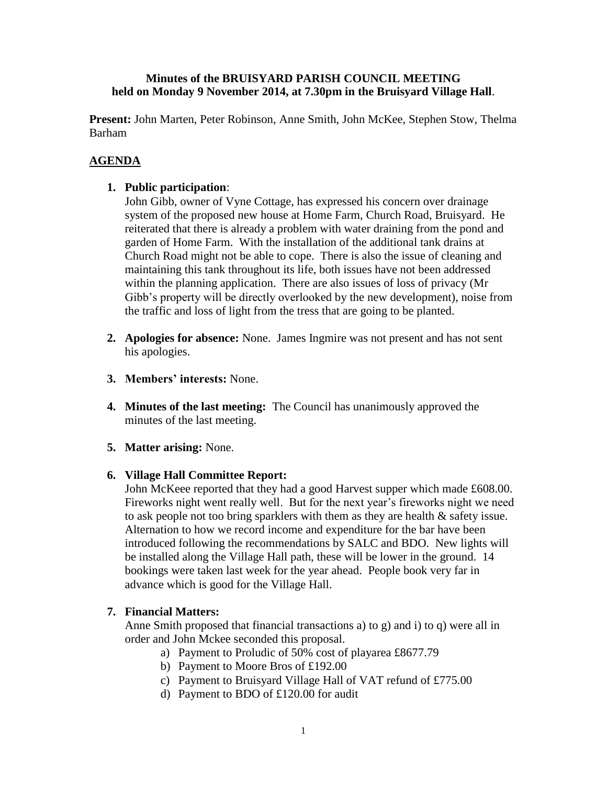#### **Minutes of the BRUISYARD PARISH COUNCIL MEETING held on Monday 9 November 2014, at 7.30pm in the Bruisyard Village Hall**.

**Present:** John Marten, Peter Robinson, Anne Smith, John McKee, Stephen Stow, Thelma Barham

# **AGENDA**

## **1. Public participation**:

John Gibb, owner of Vyne Cottage, has expressed his concern over drainage system of the proposed new house at Home Farm, Church Road, Bruisyard. He reiterated that there is already a problem with water draining from the pond and garden of Home Farm. With the installation of the additional tank drains at Church Road might not be able to cope. There is also the issue of cleaning and maintaining this tank throughout its life, both issues have not been addressed within the planning application. There are also issues of loss of privacy (Mr Gibb's property will be directly overlooked by the new development), noise from the traffic and loss of light from the tress that are going to be planted.

- **2. Apologies for absence:** None. James Ingmire was not present and has not sent his apologies.
- **3. Members' interests:** None.
- **4. Minutes of the last meeting:** The Council has unanimously approved the minutes of the last meeting.
- **5. Matter arising:** None.

## **6. Village Hall Committee Report:**

John McKeee reported that they had a good Harvest supper which made £608.00. Fireworks night went really well. But for the next year's fireworks night we need to ask people not too bring sparklers with them as they are health & safety issue. Alternation to how we record income and expenditure for the bar have been introduced following the recommendations by SALC and BDO. New lights will be installed along the Village Hall path, these will be lower in the ground. 14 bookings were taken last week for the year ahead. People book very far in advance which is good for the Village Hall.

## **7. Financial Matters:**

Anne Smith proposed that financial transactions a) to g) and i) to q) were all in order and John Mckee seconded this proposal.

- a) Payment to Proludic of 50% cost of playarea £8677.79
- b) Payment to Moore Bros of £192.00
- c) Payment to Bruisyard Village Hall of VAT refund of £775.00
- d) Payment to BDO of £120.00 for audit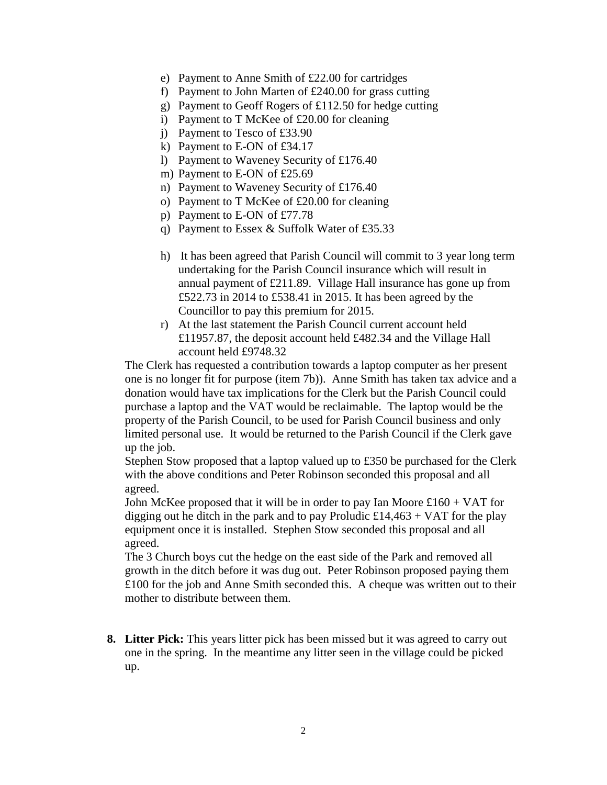- e) Payment to Anne Smith of £22.00 for cartridges
- f) Payment to John Marten of £240.00 for grass cutting
- g) Payment to Geoff Rogers of £112.50 for hedge cutting
- i) Payment to T McKee of £20.00 for cleaning
- j) Payment to Tesco of £33.90
- k) Payment to E-ON of £34.17
- l) Payment to Waveney Security of £176.40
- m) Payment to E-ON of £25.69
- n) Payment to Waveney Security of £176.40
- o) Payment to T McKee of £20.00 for cleaning
- p) Payment to E-ON of £77.78
- q) Payment to Essex & Suffolk Water of £35.33
- h) It has been agreed that Parish Council will commit to 3 year long term undertaking for the Parish Council insurance which will result in annual payment of £211.89. Village Hall insurance has gone up from £522.73 in 2014 to £538.41 in 2015. It has been agreed by the Councillor to pay this premium for 2015.
- r) At the last statement the Parish Council current account held £11957.87, the deposit account held £482.34 and the Village Hall account held £9748.32

The Clerk has requested a contribution towards a laptop computer as her present one is no longer fit for purpose (item 7b)). Anne Smith has taken tax advice and a donation would have tax implications for the Clerk but the Parish Council could purchase a laptop and the VAT would be reclaimable. The laptop would be the property of the Parish Council, to be used for Parish Council business and only limited personal use. It would be returned to the Parish Council if the Clerk gave up the job.

Stephen Stow proposed that a laptop valued up to £350 be purchased for the Clerk with the above conditions and Peter Robinson seconded this proposal and all agreed.

John McKee proposed that it will be in order to pay Ian Moore  $\pounds 160 + VAT$  for digging out he ditch in the park and to pay Proludic  $£14,463 + VAT$  for the play equipment once it is installed. Stephen Stow seconded this proposal and all agreed.

The 3 Church boys cut the hedge on the east side of the Park and removed all growth in the ditch before it was dug out. Peter Robinson proposed paying them £100 for the job and Anne Smith seconded this. A cheque was written out to their mother to distribute between them.

**8. Litter Pick:** This years litter pick has been missed but it was agreed to carry out one in the spring. In the meantime any litter seen in the village could be picked up.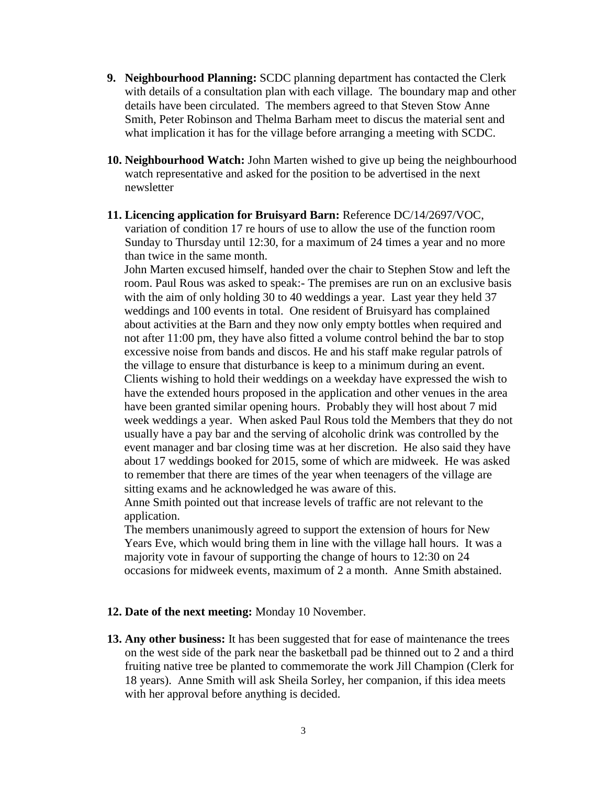- **9. Neighbourhood Planning:** SCDC planning department has contacted the Clerk with details of a consultation plan with each village. The boundary map and other details have been circulated. The members agreed to that Steven Stow Anne Smith, Peter Robinson and Thelma Barham meet to discus the material sent and what implication it has for the village before arranging a meeting with SCDC.
- **10. Neighbourhood Watch:** John Marten wished to give up being the neighbourhood watch representative and asked for the position to be advertised in the next newsletter
- **11. Licencing application for Bruisyard Barn:** Reference DC/14/2697/VOC, variation of condition 17 re hours of use to allow the use of the function room Sunday to Thursday until 12:30, for a maximum of 24 times a year and no more than twice in the same month.

John Marten excused himself, handed over the chair to Stephen Stow and left the room. Paul Rous was asked to speak:- The premises are run on an exclusive basis with the aim of only holding 30 to 40 weddings a year. Last year they held 37 weddings and 100 events in total. One resident of Bruisyard has complained about activities at the Barn and they now only empty bottles when required and not after 11:00 pm, they have also fitted a volume control behind the bar to stop excessive noise from bands and discos. He and his staff make regular patrols of the village to ensure that disturbance is keep to a minimum during an event. Clients wishing to hold their weddings on a weekday have expressed the wish to have the extended hours proposed in the application and other venues in the area have been granted similar opening hours. Probably they will host about 7 mid week weddings a year. When asked Paul Rous told the Members that they do not usually have a pay bar and the serving of alcoholic drink was controlled by the event manager and bar closing time was at her discretion. He also said they have about 17 weddings booked for 2015, some of which are midweek. He was asked to remember that there are times of the year when teenagers of the village are sitting exams and he acknowledged he was aware of this.

Anne Smith pointed out that increase levels of traffic are not relevant to the application.

The members unanimously agreed to support the extension of hours for New Years Eve, which would bring them in line with the village hall hours. It was a majority vote in favour of supporting the change of hours to 12:30 on 24 occasions for midweek events, maximum of 2 a month. Anne Smith abstained.

#### **12. Date of the next meeting:** Monday 10 November.

**13. Any other business:** It has been suggested that for ease of maintenance the trees on the west side of the park near the basketball pad be thinned out to 2 and a third fruiting native tree be planted to commemorate the work Jill Champion (Clerk for 18 years). Anne Smith will ask Sheila Sorley, her companion, if this idea meets with her approval before anything is decided.